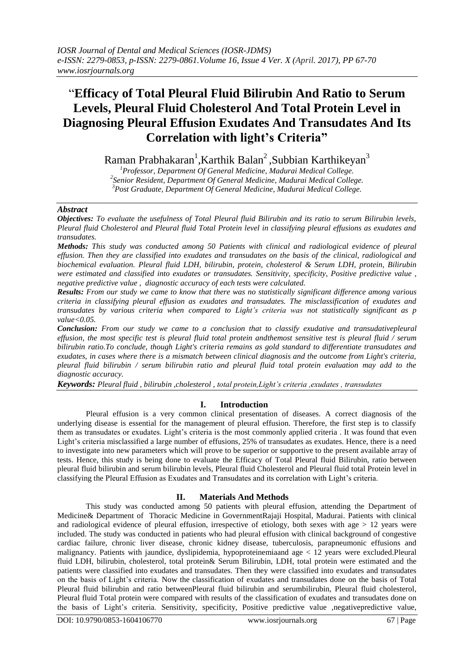# "**Efficacy of Total Pleural Fluid Bilirubin And Ratio to Serum Levels, Pleural Fluid Cholesterol And Total Protein Level in Diagnosing Pleural Effusion Exudates And Transudates And Its Correlation with light's Criteria"**

Raman Prabhakaran<sup>1</sup>,Karthik Balan<sup>2</sup>,Subbian Karthikeyan<sup>3</sup>

*<sup>1</sup>Professor, Department Of General Medicine, Madurai Medical College. 2 Senior Resident, Department Of General Medicine, Madurai Medical College. <sup>3</sup>Post Graduate, Department Of General Medicine, Madurai Medical College.*

## *Abstract*

*Objectives: To evaluate the usefulness of Total Pleural fluid Bilirubin and its ratio to serum Bilirubin levels, Pleural fluid Cholesterol and Pleural fluid Total Protein level in classifying pleural effusions as exudates and transudates.*

*Methods: This study was conducted among 50 Patients with clinical and radiological evidence of pleural effusion. Then they are classified into exudates and transudates on the basis of the clinical, radiological and biochemical evaluation. Pleural fluid LDH, bilirubin, protein, cholesterol & Serum LDH, protein, Bilirubin were estimated and classified into exudates or transudates. Sensitivity, specificity, Positive predictive value , negative predictive value , diagnostic accuracy of each tests were calculated.*

*Results: From our study we came to know that there was no statistically significant difference among various criteria in classifying pleural effusion as exudates and transudates. The misclassification of exudates and transudates by various criteria when compared to Light's criteria was not statistically significant as p value<0.05.*

*Conclusion: From our study we came to a conclusion that to classify exudative and transudativepleural effusion, the most specific test is pleural fluid total protein andthemost sensitive test is pleural fluid / serum bilirubin ratio.To conclude, though Light's criteria remains as gold standard to differentiate transudates and exudates, in cases where there is a mismatch between clinical diagnosis and the outcome from Light's criteria, pleural fluid bilirubin / serum bilirubin ratio and pleural fluid total protein evaluation may add to the diagnostic accuracy.*

*Keywords: Pleural fluid , bilirubin ,cholesterol , total protein,Light's criteria ,exudates , transudates*

## **I. Introduction**

Pleural effusion is a very common clinical presentation of diseases. A correct diagnosis of the underlying disease is essential for the management of pleural effusion. Therefore, the first step is to classify them as transudates or exudates. Light's criteria is the most commonly applied criteria. It was found that even Light's criteria misclassified a large number of effusions, 25% of transudates as exudates. Hence, there is a need to investigate into new parameters which will prove to be superior or supportive to the present available array of tests. Hence, this study is being done to evaluate the Efficacy of Total Pleural fluid Bilirubin, ratio between pleural fluid bilirubin and serum bilirubin levels, Pleural fluid Cholesterol and Pleural fluid total Protein level in classifying the Pleural Effusion as Exudates and Transudates and its correlation with Light"s criteria.

# **II. Materials And Methods**

This study was conducted among 50 patients with pleural effusion, attending the Department of Medicine& Department of Thoracic Medicine in GovernmentRajaji Hospital, Madurai. Patients with clinical and radiological evidence of pleural effusion, irrespective of etiology, both sexes with age  $> 12$  years were included. The study was conducted in patients who had pleural effusion with clinical background of congestive cardiac failure, chronic liver disease, chronic kidney disease, tuberculosis, parapneumonic effusions and malignancy. Patients with jaundice, dyslipidemia, hypoproteinemiaand age < 12 years were excluded.Pleural fluid LDH, bilirubin, cholesterol, total protein& Serum Bilirubin, LDH, total protein were estimated and the patients were classified into exudates and transudates. Then they were classified into exudates and transudates on the basis of Light"s criteria. Now the classification of exudates and transudates done on the basis of Total Pleural fluid bilirubin and ratio betweenPleural fluid bilirubin and serumbilirubin, Pleural fluid cholesterol, Pleural fluid Total protein were compared with results of the classification of exudates and transudates done on the basis of Light's criteria. Sensitivity, specificity, Positive predictive value ,negativepredictive value,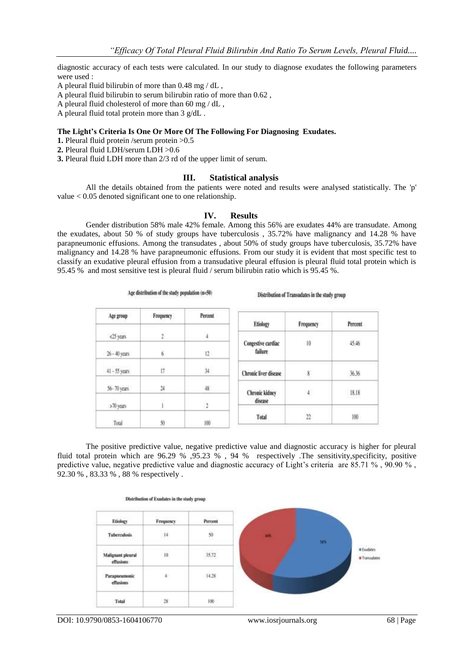diagnostic accuracy of each tests were calculated. In our study to diagnose exudates the following parameters were used :

A pleural fluid bilirubin of more than 0.48 mg / dL ,

A pleural fluid bilirubin to serum bilirubin ratio of more than 0.62 ,

A pleural fluid cholesterol of more than 60 mg / dL ,

A pleural fluid total protein more than 3 g/dL .

#### **The Light's Criteria Is One Or More Of The Following For Diagnosing Exudates.**

**1.** Pleural fluid protein /serum protein >0.5

**2.** Pleural fluid LDH/serum LDH >0.6

**3.** Pleural fluid LDH more than 2/3 rd of the upper limit of serum.

Age distribution of the study population (n=50)

### **III. Statistical analysis**

All the details obtained from the patients were noted and results were analysed statistically. The 'p' value < 0.05 denoted significant one to one relationship.

#### **IV. Results**

Gender distribution 58% male 42% female. Among this 56% are exudates 44% are transudate. Among the exudates, about 50 % of study groups have tuberculosis , 35.72% have malignancy and 14.28 % have parapneumonic effusions. Among the transudates , about 50% of study groups have tuberculosis, 35.72% have malignancy and 14.28 % have parapneumonic effusions. From our study it is evident that most specific test to classify an exudative pleural effusion from a transudative pleural effusion is pleural fluid total protein which is 95.45 % and most sensitive test is pleural fluid / serum bilirubin ratio which is 95.45 %.

Distribution of Transudates in the study group

|                 |           |                       |                               |           | www.co  |
|-----------------|-----------|-----------------------|-------------------------------|-----------|---------|
| Аре дгощо       | Frequency | Percent               | Etiology                      | Frequency | Percent |
| <25 years       |           | 4                     |                               |           |         |
| 26-40 years     | 6         | 12                    | Congestive cardiac<br>failure | 10        | 45.46   |
| $41 - 55$ years | i7        | 34                    | Chronic liver disease         | 8         | 36.36   |
| 56-70 years     | 24        | 48                    | <b>Chronic kidney</b>         | 4         | 18.18   |
| >70 years       |           | 2                     | disease                       |           |         |
| Total           | 50        | <b>Support</b><br>100 | Total                         | 22        | 100     |

The positive predictive value, negative predictive value and diagnostic accuracy is higher for pleural fluid total protein which are 96.29 % ,95.23 % , 94 % respectively .The sensitivity,specificity, positive predictive value, negative predictive value and diagnostic accuracy of Light's criteria are 85.71 %, 90.90 %, 92.30 % , 83.33 % , 88 % respectively .

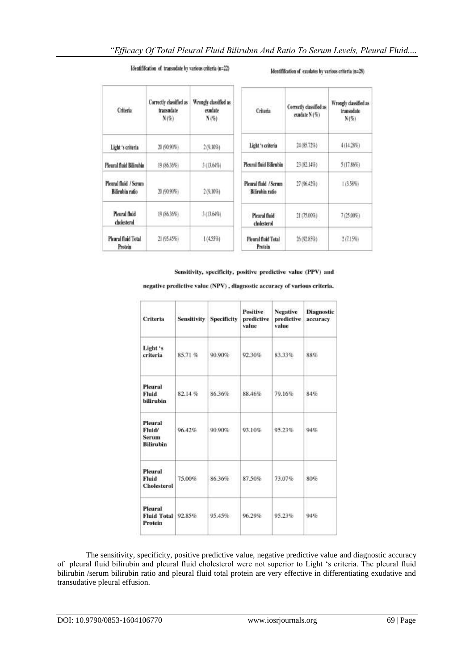## Identifification of transudate by various criteria (n=22)

#### Identififcation of exudates by various criteria (n=28)

| Criteria                                        | Correctly classified as<br>transudate<br>N(S) | Wrongly classified as<br>exudate<br>N(5) | Criteria                                 | Correctly classified as<br>exudate N (%) | Wrough classified as<br>transadate<br>N(S) |
|-------------------------------------------------|-----------------------------------------------|------------------------------------------|------------------------------------------|------------------------------------------|--------------------------------------------|
| Light 's criteria                               | 20 (90.90%)                                   | 2 (9.10%)                                | Light's criteria                         | 24 (85.72%)                              | 4 (14.28%)                                 |
| Plearal fluid Bilirubin                         | 19 (86.36%)                                   | 3 (13.64%)                               | Pleural fluid Bilirubin                  | 23 (82.14%)                              | 5 (17.86%)                                 |
| Plearal fluid / Serum<br><b>Bilirubin</b> ratio | 20 (90.90%)                                   | 2(9.10%)                                 | Pleural fluid / Serum<br>Bilirubin ratio | 27 (96.42%)                              | 1(3.58%)                                   |
| Pleural fluid<br>cholesterol                    | 19 (86,36%)                                   | 3(13.64%)                                | Plearal fluid<br>cholesterol             | 21 (75.00%)                              | 7(25.00%)                                  |
| Pleural fluid Total<br><b>Protein</b>           | 21 (95.45%)                                   | $1(4.55\%)$                              | Pleural fluid Total<br>Protein           | 26 (92.85%)                              | 2(7.15%)                                   |

Sensitivity, specificity, positive predictive value (PPV) and

negative predictive value (NPV), diagnostic accuracy of various criteria.

| Criteria                                              | <b>Sensitivity</b> | <b>Specificity</b> | Positive<br>predictive<br>value | <b>Negative</b><br>predictive<br>value | <b>Diagnostic</b><br>accuracy |
|-------------------------------------------------------|--------------------|--------------------|---------------------------------|----------------------------------------|-------------------------------|
| Light's<br>criteria                                   | 85.71%             | 90.90%             | 92.30%                          | 83.33%                                 | 88%                           |
| Pleural<br>Fluid<br><b>bilirubin</b>                  | 82.14%             | 86.36%             | 88.46%                          | 79.16%                                 | 84%                           |
| Pleural<br>Fluid/<br><b>Serum</b><br><b>Bilirubin</b> | 96.42%             | 90.90%             | 93.10%                          | 95.23%                                 | 94%                           |
| Pleural<br>Fluid<br><b>Cholesterol</b>                | 75,00%             | 86.36%             | 87.50%                          | 73.07%                                 | 80%                           |
| Pleural<br><b>Fluid Total</b><br>Protein              | 92.85%             | 95.45%             | 96.29%                          | 95.23%                                 | 94%                           |

The sensitivity, specificity, positive predictive value, negative predictive value and diagnostic accuracy of pleural fluid bilirubin and pleural fluid cholesterol were not superior to Light "s criteria. The pleural fluid bilirubin /serum bilirubin ratio and pleural fluid total protein are very effective in differentiating exudative and transudative pleural effusion.